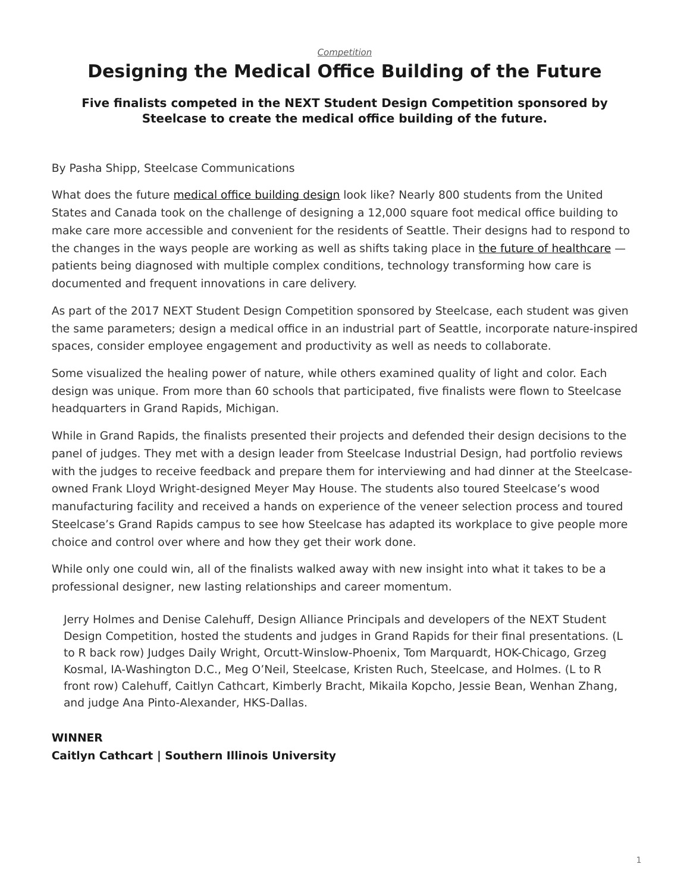# <span id="page-0-0"></span>**Designing the Medical Office Building of the Future**

## **Five finalists competed in the NEXT Student Design Competition sponsored by Steelcase to create the medical office building of the future.**

### By Pasha Shipp, Steelcase Communications

What does the future [medical office building design](https://www.steelcase.com/resources/space-planning-ideas/industry/healthcare/) look like? Nearly 800 students from the United States and Canada took on the challenge of designing a 12,000 square foot medical office building to make care more accessible and convenient for the residents of Seattle. Their designs had to respond to the changes in the ways people are working as well as shifts taking place in [the future of healthcare](https://www.steelcase.com/research/articles/the-future-of-healthcare-the-patient-room/) patients being diagnosed with multiple complex conditions, technology transforming how care is documented and frequent innovations in care delivery.

As part of the 2017 NEXT Student Design Competition sponsored by Steelcase, each student was given the same parameters; design a medical office in an industrial part of Seattle, incorporate nature-inspired spaces, consider employee engagement and productivity as well as needs to collaborate.

Some visualized the healing power of nature, while others examined quality of light and color. Each design was unique. From more than 60 schools that participated, five finalists were flown to Steelcase headquarters in Grand Rapids, Michigan.

While in Grand Rapids, the finalists presented their projects and defended their design decisions to the panel of judges. They met with a design leader from Steelcase Industrial Design, had portfolio reviews with the judges to receive feedback and prepare them for interviewing and had dinner at the Steelcaseowned Frank Lloyd Wright-designed Meyer May House. The students also toured Steelcase's wood manufacturing facility and received a hands on experience of the veneer selection process and toured Steelcase's Grand Rapids campus to see how Steelcase has adapted its workplace to give people more choice and control over where and how they get their work done.

While only one could win, all of the finalists walked away with new insight into what it takes to be a professional designer, new lasting relationships and career momentum.

Jerry Holmes and Denise Calehuff, Design Alliance Principals and developers of the NEXT Student Design Competition, hosted the students and judges in Grand Rapids for their final presentations. (L to R back row) Judges Daily Wright, Orcutt-Winslow-Phoenix, Tom Marquardt, HOK-Chicago, Grzeg Kosmal, IA-Washington D.C., Meg O'Neil, Steelcase, Kristen Ruch, Steelcase, and Holmes. (L to R front row) Calehuff, Caitlyn Cathcart, Kimberly Bracht, Mikaila Kopcho, Jessie Bean, Wenhan Zhang, and judge Ana Pinto-Alexander, HKS-Dallas.

# **WINNER**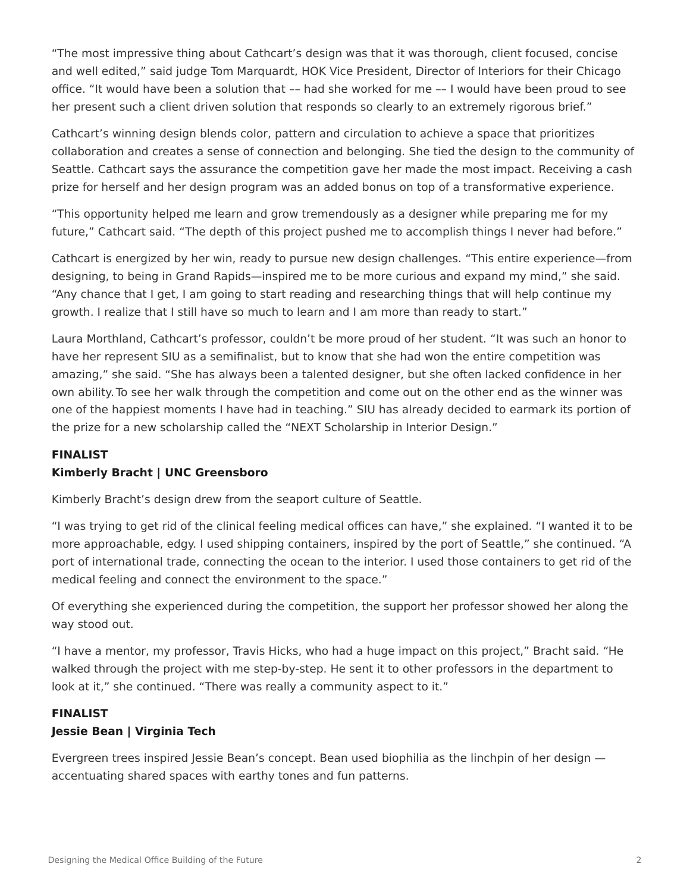"The most impressive thing about Cathcart's design was that it was thorough, client focused, concise and well edited," said judge Tom Marquardt, HOK Vice President, Director of Interiors for their Chicago office. "It would have been a solution that –– had she worked for me –– I would have been proud to see her present such a client driven solution that responds so clearly to an extremely rigorous brief."

Cathcart's winning design blends color, pattern and circulation to achieve a space that prioritizes collaboration and creates a sense of connection and belonging. She tied the design to the community of Seattle. Cathcart says the assurance the competition gave her made the most impact. Receiving a cash prize for herself and her design program was an added bonus on top of a transformative experience.

"This opportunity helped me learn and grow tremendously as a designer while preparing me for my future," Cathcart said. "The depth of this project pushed me to accomplish things I never had before."

Cathcart is energized by her win, ready to pursue new design challenges. "This entire experience—from designing, to being in Grand Rapids—inspired me to be more curious and expand my mind," she said. "Any chance that I get, I am going to start reading and researching things that will help continue my growth. I realize that I still have so much to learn and I am more than ready to start."

Laura Morthland, Cathcart's professor, couldn't be more proud of her student. "It was such an honor to have her represent SIU as a semifinalist, but to know that she had won the entire competition was amazing," she said. "She has always been a talented designer, but she often lacked confidence in her own ability. To see her walk through the competition and come out on the other end as the winner was one of the happiest moments I have had in teaching." SIU has already decided to earmark its portion of the prize for a new scholarship called the "NEXT Scholarship in Interior Design."

#### **FINALIST**

#### **Kimberly Bracht | UNC Greensboro**

Kimberly Bracht's design drew from the seaport culture of Seattle.

"I was trying to get rid of the clinical feeling medical offices can have," she explained. "I wanted it to be more approachable, edgy. I used shipping containers, inspired by the port of Seattle," she continued. "A port of international trade, connecting the ocean to the interior. I used those containers to get rid of the medical feeling and connect the environment to the space."

Of everything she experienced during the competition, the support her professor showed her along the way stood out.

"I have a mentor, my professor, Travis Hicks, who had a huge impact on this project," Bracht said. "He walked through the project with me step-by-step. He sent it to other professors in the department to look at it," she continued. "There was really a community aspect to it."

#### **FINALIST**

#### **Jessie Bean | Virginia Tech**

Evergreen trees inspired Jessie Bean's concept. Bean used biophilia as the linchpin of her design accentuating shared spaces with earthy tones and fun patterns.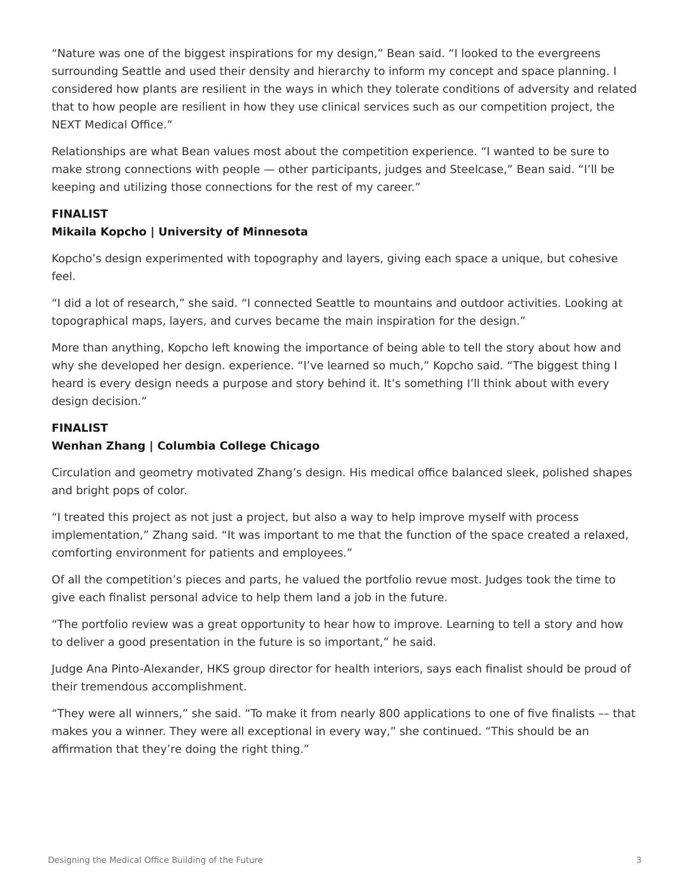"Nature was one of the biggest inspirations for my design," Bean said. "I looked to the evergreens surrounding Seattle and used their density and hierarchy to inform my concept and space planning. I considered how plants are resilient in the ways in which they tolerate conditions of adversity and related that to how people are resilient in how they use clinical services such as our competition project, the NEXT Medical Office."

Relationships are what Bean values most about the competition experience. "I wanted to be sure to make strong connections with people — other participants, judges and Steelcase," Bean said. "I'll be keeping and utilizing those connections for the rest of my career."

### **FINALIST**

## **Mikaila Kopcho | University of Minnesota**

Kopcho's design experimented with topography and layers, giving each space a unique, but cohesive feel.

"I did a lot of research," she said. "I connected Seattle to mountains and outdoor activities. Looking at topographical maps, layers, and curves became the main inspiration for the design."

More than anything, Kopcho left knowing the importance of being able to tell the story about how and why she developed her design. experience. "I've learned so much," Kopcho said. "The biggest thing I heard is every design needs a purpose and story behind it. It's something I'll think about with every design decision."

#### **FINALIST**

## **Wenhan Zhang | Columbia College Chicago**

Circulation and geometry motivated Zhang's design. His medical office balanced sleek, polished shapes and bright pops of color.

"I treated this project as not just a project, but also a way to help improve myself with process implementation," Zhang said. "It was important to me that the function of the space created a relaxed, comforting environment for patients and employees."

Of all the competition's pieces and parts, he valued the portfolio revue most. Judges took the time to give each finalist personal advice to help them land a job in the future.

"The portfolio review was a great opportunity to hear how to improve. Learning to tell a story and how to deliver a good presentation in the future is so important," he said.

Judge Ana Pinto-Alexander, HKS group director for health interiors, says each finalist should be proud of their tremendous accomplishment.

"They were all winners," she said. "To make it from nearly 800 applications to one of five finalists –– that makes you a winner. They were all exceptional in every way," she continued. "This should be an affirmation that they're doing the right thing."